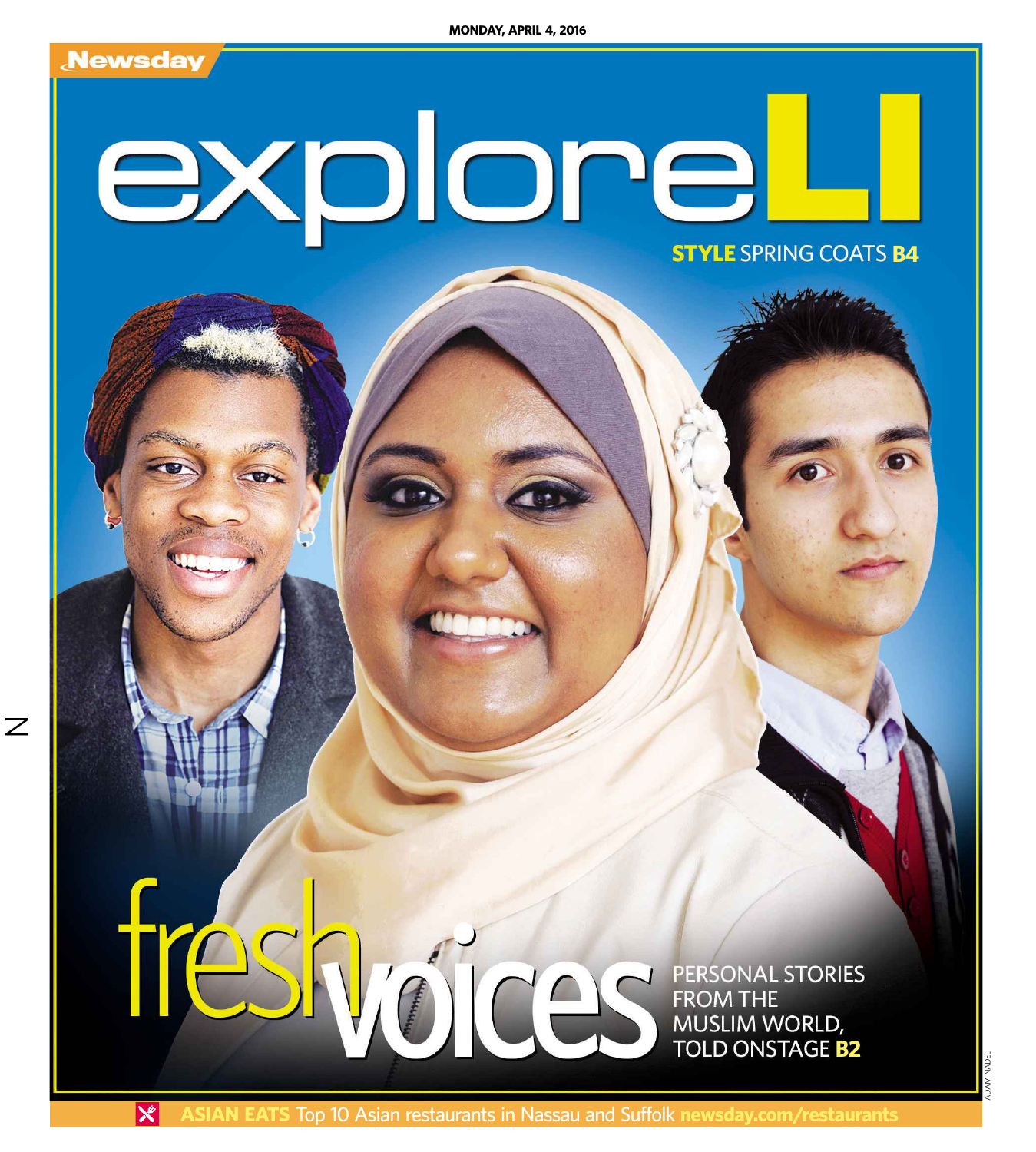

 $\mathbb Z$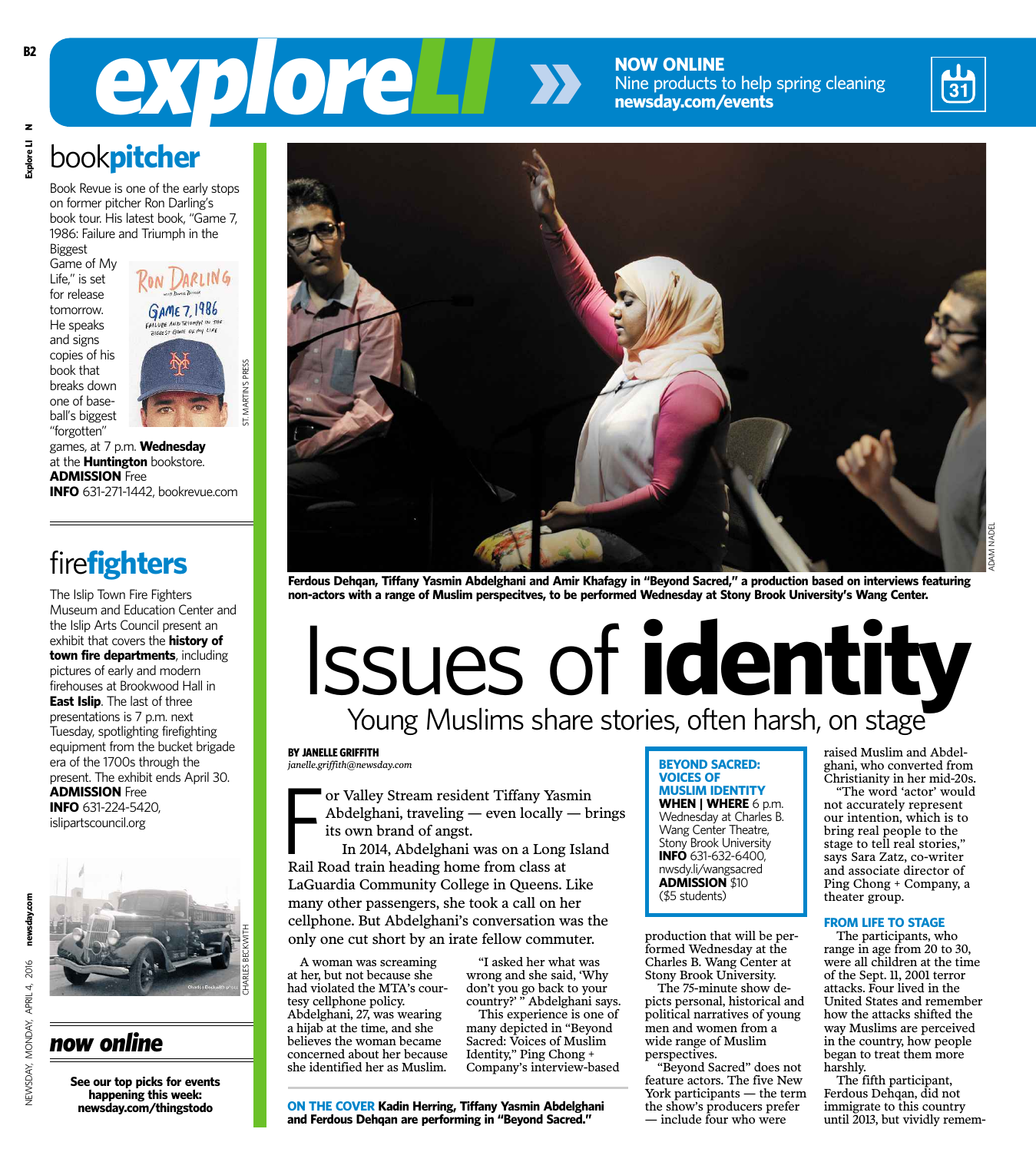**NOW ONLINE** Nine products to help spring cleaning **newsday.com/events**



ADAM NADEL

# *exploreLI*

 **Explore LI Nxplore LI** book**pitcher** Book Revue is one of the early stops

on former pitcher Ron Darling's book tour. His latest book, "Game 7, 1986: Failure and Triumph in the Biggest

Game of My Life," is set for release tomorrow. He speaks and signs copies of his book that breaks down one of baseball's biggest "forgotten"

GAME 7, 1986

**ST. MARTIN'S PRESS** ST. MARTIN'S PRESS

games, at 7 p.m. **Wednesday** at the **Huntington** bookstore. **ADMISSION** Free **INFO** 631-271-1442, bookrevue.com

### fire**fighters**

The Islip Town Fire Fighters Museum and Education Center and the Islip Arts Council present an exhibit that covers the **history of town fire departments**, including pictures of early and modern firehouses at Brookwood Hall in **East Islip**. The last of three presentations is 7 p.m. next Tuesday, spotlighting firefighting equipment from the bucket brigade era of the 1700s through the present. The exhibit ends April 30. **ADMISSION** Free **INFO** 631-224-5420, islipartscouncil.org



**See our top picks for events happening this week: newsday.com/thingstodo**



Ferdous Dehqan, Tiffany Yasmin Abdelghani and Amir Khafagy in "Beyond Sacred," a production based on interviews featuring **non-actors with a range of Muslim perspecitves, to be performed Wednesday at Stony Brook University's Wang Center.**

## Young Muslims share stories, often harsh, on stage Issues of **identity**

**BY JANELLE GRIFFITH** *janelle.griffith@newsday.com*

or Valley Stream resident Tiffany Yas<br>Abdelghani, traveling — even locally<br>its own brand of angst.<br>In 2014, Abdelghani was on a Long<br>Rail Road train heading home from class at or Valley Stream resident Tiffany Yasmin Abdelghani, traveling — even locally — brings its own brand of angst.

In 2014, Abdelghani was on a Long Island LaGuardia Community College in Queens. Like many other passengers, she took a call on her cellphone. But Abdelghani's conversation was the only one cut short by an irate fellow commuter.

A woman was screaming at her, but not because she had violated the MTA's courtesy cellphone policy. Abdelghani, 27, was wearing a hijab at the time, and she believes the woman became concerned about her because she identified her as Muslim.

"I asked her what was wrong and she said, 'Why don't you go back to your country?' " Abdelghani says.

This experience is one of many depicted in "Beyond Sacred: Voices of Muslim Identity," Ping Chong + Company's interview-based

**ON THE COVER Kadin Herring, Tiffany Yasmin Abdelghani and Ferdous Dehqan are performing in "Beyond Sacred."**

**BEYOND SACRED: VOICES OF MUSLIM IDENTITY WHEN | WHERE** 6 p.m. Wednesday at Charles B. Wang Center Theatre, Stony Brook University **INFO** 631-632-6400, nwsdy.li/wangsacred **ADMISSION** \$10 (\$5 students)

production that will be performed Wednesday at the Charles B. Wang Center at Stony Brook University.

The 75-minute show depicts personal, historical and political narratives of young men and women from a wide range of Muslim perspectives.

"Beyond Sacred" does not feature actors. The five New York participants — the term the show's producers prefer — include four who were

raised Muslim and Abdelghani, who converted from Christianity in her mid-20s.

"The word 'actor' would not accurately represent our intention, which is to bring real people to the stage to tell real stories," says Sara Zatz, co-writer and associate director of Ping Chong + Company, a theater group.

#### **FROM LIFE TO STAGE**

The participants, who range in age from 20 to 30, were all children at the time of the Sept. 11, 2001 terror attacks. Four lived in the United States and remember how the attacks shifted the way Muslims are perceived in the country, how people began to treat them more harshly.

The fifth participant, Ferdous Dehqan, did not immigrate to this country until 2013, but vividly remem-